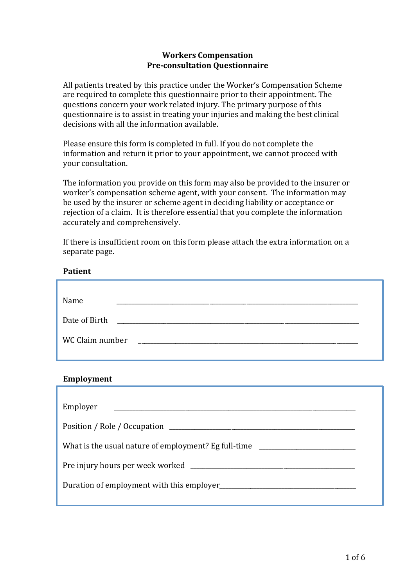## **Workers Compensation Pre-consultation Questionnaire**

All patients treated by this practice under the Worker's Compensation Scheme are required to complete this questionnaire prior to their appointment. The questions concern your work related injury. The primary purpose of this questionnaire is to assist in treating your injuries and making the best clinical decisions with all the information available.

Please ensure this form is completed in full. If you do not complete the information and return it prior to your appointment, we cannot proceed with your consultation.

The information you provide on this form may also be provided to the insurer or worker's compensation scheme agent, with your consent. The information may be used by the insurer or scheme agent in deciding liability or acceptance or rejection of a claim. It is therefore essential that you complete the information accurately and comprehensively.

If there is insufficient room on this form please attach the extra information on a separate page.

# **Patient**

| Name            |  |  |
|-----------------|--|--|
| Date of Birth   |  |  |
| WC Claim number |  |  |

## **Employment**

| Employer                                                                         |  |
|----------------------------------------------------------------------------------|--|
|                                                                                  |  |
| What is the usual nature of employment? Eg full-time ___________________________ |  |
|                                                                                  |  |
| Duration of employment with this employer                                        |  |
|                                                                                  |  |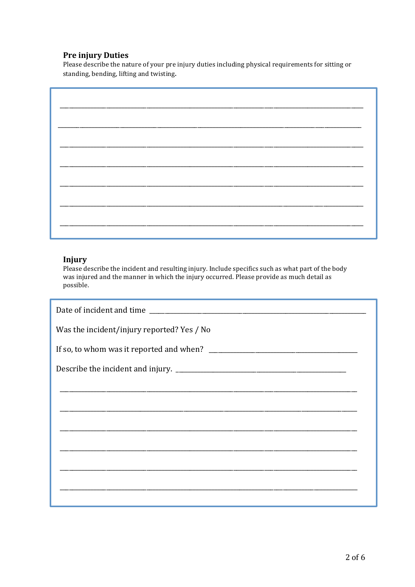# **Pre injury Duties**

Please describe the nature of your pre injury duties including physical requirements for sitting or standing, bending, lifting and twisting.

### **Injury**

Please describe the incident and resulting injury. Include specifics such as what part of the body was injured and the manner in which the injury occurred. Please provide as much detail as possible.

| Was the incident/injury reported? Yes / No |  |  |
|--------------------------------------------|--|--|
|                                            |  |  |
|                                            |  |  |
|                                            |  |  |
|                                            |  |  |
|                                            |  |  |
|                                            |  |  |
|                                            |  |  |
|                                            |  |  |
|                                            |  |  |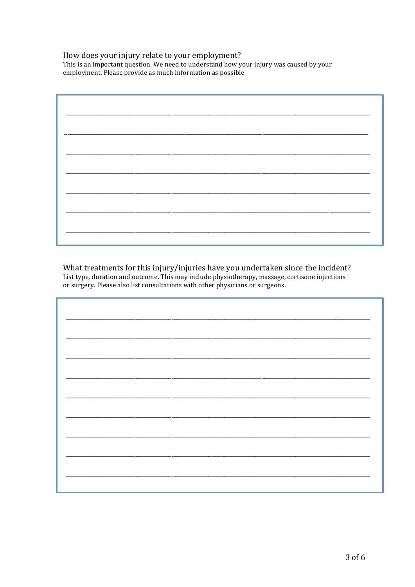### How does your injury relate to your employment?

This is an important question. We need to understand how your injury was caused by your employment. Please provide as much information as possible

What treatments for this injury/injuries have you undertaken since the incident? List type, duration and outcome. This may include physiotherapy, massage, cortisone injections or surgery. Please also list consultations with other physicians or surgeons.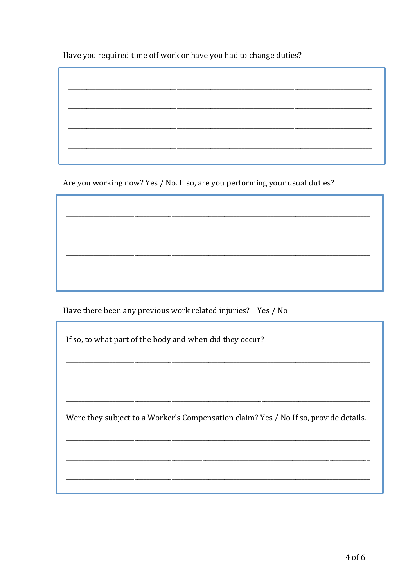Have you required time off work or have you had to change duties?

Are you working now? Yes / No. If so, are you performing your usual duties?

<u> 1980 - Johann John Stone, meil er format fan de ferske fan de ferske fan de ferske fan de ferske fan de fers</u>

Have there been any previous work related injuries? Yes / No

If so, to what part of the body and when did they occur?

Were they subject to a Worker's Compensation claim? Yes / No If so, provide details.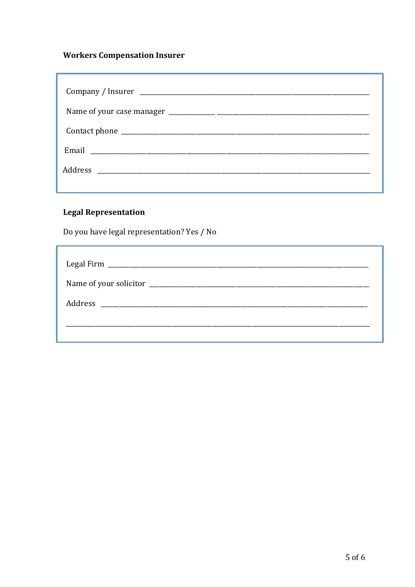# **Workers Compensation Insurer**

# **Legal Representation**

Do you have legal representation? Yes / No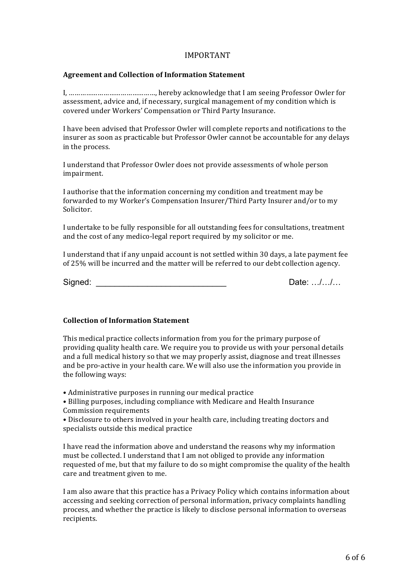### IMPORTANT

#### **Agreement and Collection of Information Statement**

I, ………………………………………, hereby acknowledge that I am seeing Professor Owler for assessment, advice and, if necessary, surgical management of my condition which is covered under Workers' Compensation or Third Party Insurance.

I have been advised that Professor Owler will complete reports and notifications to the insurer as soon as practicable but Professor Owler cannot be accountable for any delays in the process.

I understand that Professor Owler does not provide assessments of whole person impairment.

I authorise that the information concerning my condition and treatment may be forwarded to my Worker's Compensation Insurer/Third Party Insurer and/or to my Solicitor.

I undertake to be fully responsible for all outstanding fees for consultations, treatment and the cost of any medico-legal report required by my solicitor or me.

I understand that if any unpaid account is not settled within 30 days, a late payment fee of 25% will be incurred and the matter will be referred to our debt collection agency.

Signed: \_\_\_\_\_\_\_\_\_\_\_\_\_\_\_\_\_\_\_\_\_\_\_\_\_\_\_\_ Date: …/…/…

### **Collection of Information Statement**

This medical practice collects information from you for the primary purpose of providing quality health care. We require you to provide us with your personal details and a full medical history so that we may properly assist, diagnose and treat illnesses and be pro-active in your health care. We will also use the information you provide in the following ways:

• Administrative purposes in running our medical practice

• Billing purposes, including compliance with Medicare and Health Insurance Commission requirements

• Disclosure to others involved in your health care, including treating doctors and specialists outside this medical practice

I have read the information above and understand the reasons why my information must be collected. I understand that I am not obliged to provide any information requested of me, but that my failure to do so might compromise the quality of the health care and treatment given to me.

I am also aware that this practice has a Privacy Policy which contains information about accessing and seeking correction of personal information, privacy complaints handling process, and whether the practice is likely to disclose personal information to overseas recipients.